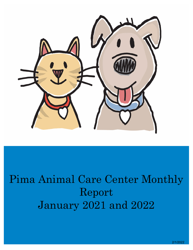

# Pima Animal Care Center Monthly Report January 2021 and 2022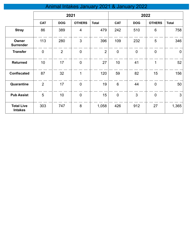# Animal Intakes January 2021 & January 2022

|                                     | 2021           |                |                  |                | 2022           |                |                |                |
|-------------------------------------|----------------|----------------|------------------|----------------|----------------|----------------|----------------|----------------|
|                                     | <b>CAT</b>     | <b>DOG</b>     | <b>OTHERS</b>    | <b>Total</b>   | <b>CAT</b>     | <b>DOG</b>     | <b>OTHERS</b>  | <b>Total</b>   |
| <b>Stray</b>                        | 86             | 389            | $\overline{4}$   | 479            | 242            | 510            | 6              | 758            |
| Owner<br><b>Surrender</b>           | 113            | 280            | 3                | 396            | 109            | 232            | 5              | 346            |
| <b>Transfer</b>                     | $\mathbf 0$    | $\overline{2}$ | $\overline{0}$   | $\overline{2}$ | $\overline{0}$ | $\overline{0}$ | $\overline{0}$ | $\overline{0}$ |
| <b>Returned</b>                     | 10             | 17             | $\boldsymbol{0}$ | 27             | 10             | 41             | 1              | 52             |
| <b>Confiscated</b>                  | 87             | 32             | 1                | 120            | 59             | 82             | 15             | 156            |
| Quarantine                          | $\overline{2}$ | 17             | $\mathbf 0$      | 19             | 6              | 44             | $\mathbf 0$    | 50             |
| <b>Pub Assist</b>                   | 5              | 10             | $\mathbf 0$      | 15             | $\mathbf 0$    | 3              | $\mathbf 0$    | $\mathbf{3}$   |
| <b>Total Live</b><br><b>Intakes</b> | 303            | 747            | 8                | 1,058          | 426            | 912            | 27             | 1,365          |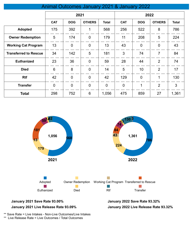|                              | 2021            |                |                | 2022           |                |                |                |              |
|------------------------------|-----------------|----------------|----------------|----------------|----------------|----------------|----------------|--------------|
|                              | <b>CAT</b>      | <b>DOG</b>     | <b>OTHERS</b>  | <b>Total</b>   | <b>CAT</b>     | <b>DOG</b>     | <b>OTHERS</b>  | <b>Total</b> |
| <b>Adopted</b>               | 175             | 392            | 1              | 568            | 256            | 522            | 8              | 786          |
| <b>Owner Redemption</b>      | 5               | 174            | $\mathbf 0$    | 179            | 11             | 208            | 5              | 224          |
| <b>Working Cat Program</b>   | 13              | $\overline{0}$ | $\overline{0}$ | 13             | 43             | $\overline{0}$ | $\overline{0}$ | 43           |
| <b>Transferred to Rescue</b> | 34              | 142            | 5              | 181            | 3              | 74             | $\overline{7}$ | 84           |
| <b>Euthanized</b>            | 23              | 36             | $\overline{0}$ | 59             | 28             | 44             | $\overline{2}$ | 74           |
| <b>Died</b>                  | $6\phantom{1}6$ | 8              | $\overline{0}$ | 14             | 5              | 10             | $\overline{2}$ | 17           |
| <b>Rtf</b>                   | 42              | $\mathbf 0$    | $\overline{0}$ | 42             | 129            | $\mathbf{0}$   | 1              | 130          |
| <b>Transfer</b>              | $\overline{0}$  | $\overline{0}$ | $\overline{0}$ | $\overline{0}$ | $\overline{0}$ | 1              | $\overline{2}$ | 3            |
| <b>Total</b>                 | 298             | 752            | 6              | 1,056          | 475            | 859            | 27             | 1,361        |

Animal Outcomes January 2021 & January 2022



# **January 2021 Live Release Rate 93.09%**

**January 2022 Live Release Rate 93.32%**

\*\* Save Rate = Live Intakes - Non-Live Outcomes/Live Intakes \*\* Live Release Rate = Live Outcomes / Total Outcomes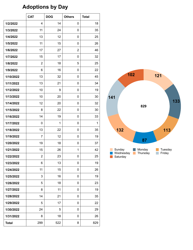## **Adoptions by Day**

|              | <b>CAT</b>     | <b>DOG</b> | <b>Others</b>  | <b>Total</b> |
|--------------|----------------|------------|----------------|--------------|
| 1/2/2022     | 4              | 14         | 0              | 18           |
| 1/3/2022     | 11             | 24         | 0              | 35           |
| 1/4/2022     | 13             | 12         | 0              | 25           |
| 1/5/2022     | 11             | 15         | 0              | 26           |
| 1/6/2022     | 17             | 27         | $\overline{2}$ | 46           |
| 1/7/2022     | 15             | 17         | 0              | 32           |
| 1/8/2022     | $\overline{2}$ | 18         | 5              | 25           |
| 1/9/2022     | 6              | 16         | 0              | 22           |
| 1/10/2022    | 13             | 32         | 0              | 45           |
| 1/11/2022    | 13             | 21         | 0              | 34           |
| 1/12/2022    | 10             | 9          | 0              | 19           |
| 1/13/2022    | 10             | 20         | 0              | 30           |
| 1/14/2022    | 12             | 20         | 0              | 32           |
| 1/15/2022    | 8              | 22         | 0              | 30           |
| 1/16/2022    | 14             | 19         | 0              | 33           |
| 1/17/2022    | 0              | 1          | 0              | $\mathbf{1}$ |
| 1/18/2022    | 13             | 22         | 0              | 35           |
| 1/19/2022    | 7              | 12         | 0              | 19           |
| 1/20/2022    | 19             | 18         | 0              | 37           |
| 1/21/2022    | 15             | 26         | 1              | 42           |
| 1/22/2022    | 2              | 23         | U              | 25           |
| 1/23/2022    | 6              | 13         | 0              | 19           |
| 1/24/2022    | 11             | 15         | 0              | 26           |
| 1/25/2022    | 3              | 16         | 0              | 19           |
| 1/26/2022    | 5              | 18         | 0              | 23           |
| 1/27/2022    | 8              | 11         | 0              | 19           |
| 1/28/2022    | 14             | 21         | 0              | 35           |
| 1/29/2022    | 5              | 17         | 0              | 22           |
| 1/30/2022    | 24             | 5          | 0              | 29           |
| 1/31/2022    | 8              | 18         | 0              | 26           |
| <b>Total</b> | 299            | 522        | 8              | 829          |

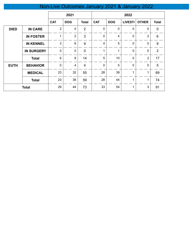# Non-Live Outcomes January 2021 & January 2022

|             |                   | 2021           |                |                | 2022        |            |               |                |                |
|-------------|-------------------|----------------|----------------|----------------|-------------|------------|---------------|----------------|----------------|
|             |                   | <b>CAT</b>     | <b>DOG</b>     | <b>Total</b>   | <b>CAT</b>  | <b>DOG</b> | <b>LIVEST</b> | <b>OTHER</b>   | <b>Total</b>   |
| <b>DIED</b> | <b>IN CARE</b>    | $\overline{2}$ | $\mathbf 0$    | $\overline{2}$ | $\mathbf 0$ | 0          | $\mathbf 0$   | 0              | $\mathbf 0$    |
|             | <b>IN FOSTER</b>  | 1              | $\overline{2}$ | 3              | $\mathbf 0$ | 4          | 0             | $\overline{2}$ | 6              |
|             | <b>IN KENNEL</b>  | 3              | $6\phantom{1}$ | 9              | 4           | 5          | $\mathbf 0$   | 0              | 9              |
|             | <b>IN SURGERY</b> | $\mathbf 0$    | 0              | $\mathbf 0$    | ◢           | 1          | 0             | $\mathbf{0}$   | $\overline{2}$ |
|             | <b>Total</b>      | 6              | 8              | 14             | 5           | 10         | $\mathbf 0$   | $\overline{2}$ | 17             |
| <b>EUTH</b> | <b>BEHAVIOR</b>   | 0              | 4              | $\overline{4}$ | $\mathbf 0$ | 5          | $\mathbf{0}$  | $\mathbf 0$    | $\overline{5}$ |
|             | <b>MEDICAL</b>    | 23             | 32             | 55             | 28          | 39         | 1             |                | 69             |
|             | <b>Total</b>      | 23             | 36             | 59             | 28          | 44         | 1             | 1              | 74             |
|             | <b>Total</b>      | 29             | 44             | 73             | 33          | 54         | 1             | 3              | 91             |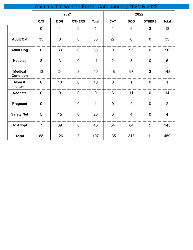|                                    |                |                | Animals that went to Foster Care January 2021 & 2022 |                |                |                |                |                |  |
|------------------------------------|----------------|----------------|------------------------------------------------------|----------------|----------------|----------------|----------------|----------------|--|
|                                    |                | 2021           |                                                      |                |                | 2022           |                |                |  |
|                                    | <b>CAT</b>     | <b>DOG</b>     | <b>OTHERS</b>                                        | <b>Total</b>   | <b>CAT</b>     | <b>DOG</b>     | <b>OTHERS</b>  | <b>Total</b>   |  |
|                                    | $\mathbf 0$    | 1              | $\overline{0}$                                       | 1              | 1              | 9              | 3              | 13             |  |
| <b>Adult Cat</b>                   | 35             | $\overline{0}$ | $\mathbf 0$                                          | 35             | 27             | $6\phantom{a}$ | $\mathbf 0$    | 33             |  |
| <b>Adult Dog</b>                   | $\mathbf 0$    | 33             | $\overline{0}$                                       | 33             | $\mathbf 0$    | 96             | $\overline{0}$ | 96             |  |
| <b>Hospice</b>                     | 8              | $\overline{3}$ | $\overline{0}$                                       | 11             | $\overline{2}$ | $\overline{3}$ | $\overline{0}$ | 5              |  |
| <b>Medical</b><br><b>Condition</b> | 13             | 24             | $\overline{3}$                                       | 40             | 48             | 97             | $\overline{3}$ | 148            |  |
| Mom &<br>Litter                    | $\overline{0}$ | 10             | $\overline{0}$                                       | 10             | $\mathbf 0$    | $\mathbf{1}$   | $\overline{0}$ | $\overline{1}$ |  |
| <b>Neonate</b>                     | $\mathbf 0$    | $\overline{0}$ | $\overline{0}$                                       | $\overline{0}$ | $\mathfrak{S}$ | 11             | $\overline{0}$ | 14             |  |
| Pregnant                           | $\overline{0}$ | $\mathbf{1}$   | $\overline{0}$                                       | $\mathbf{1}$   | $\overline{0}$ | $\overline{2}$ | $\overline{0}$ | $\overline{2}$ |  |
| <b>Safety Net</b>                  | 5              | 15             | $\mathbf 0$                                          | 20             | $\mathbf 0$    | $\overline{4}$ | $\mathbf 0$    | $\overline{4}$ |  |
| <b>To Adopt</b>                    | $\overline{7}$ | 39             | $\mathbf 0$                                          | 46             | 54             | 84             | 5              | 143            |  |
| <b>Total</b>                       | 68             | 126            | $\overline{3}$                                       | 197            | 135            | 313            | 11             | 459            |  |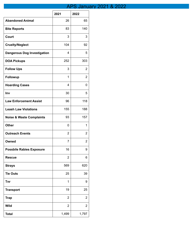### APS January 2021 & 2022

|                                     | 2021           | 2022           |
|-------------------------------------|----------------|----------------|
| <b>Abandoned Animal</b>             | 26             | 65             |
| <b>Bite Reports</b>                 | 83             | 140            |
| Court                               | 3              | 3              |
| <b>Cruelty/Neglect</b>              | 104            | 92             |
| <b>Dangerous Dog Investigation</b>  | 4              | 5              |
| <b>DOA Pickups</b>                  | 252            | 303            |
| <b>Follow Ups</b>                   | 3              | 2              |
| Followup                            | 1              | 2              |
| <b>Hoarding Cases</b>               | 4              | 0              |
| Inv                                 | 30             | 5              |
| <b>Law Enforcement Assist</b>       | 96             | 118            |
| <b>Leash Law Violations</b>         | 155            | 188            |
| <b>Noise &amp; Waste Complaints</b> | 93             | 157            |
| <b>Other</b>                        | 0              | 1              |
| <b>Outreach Events</b>              | 2              | 2              |
| Owned                               | 7              | 2              |
| <b>Possbile Rabies Exposure</b>     | 16             | 9              |
| <b>Rescue</b>                       | $\overline{2}$ | 6              |
| <b>Strays</b>                       | 569            | 620            |
| <b>Tie Outs</b>                     | 25             | 39             |
| <b>Tnr</b>                          | 1              | 9              |
| <b>Transport</b>                    | 19             | 25             |
| <b>Trap</b>                         | 2              | 2              |
| <b>Wild</b>                         | $\overline{2}$ | $\overline{2}$ |
| <b>Total</b>                        | 1,499          | 1,797          |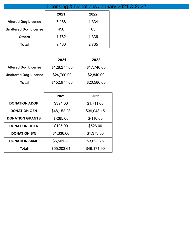|                              | Licensing & Donations January 2021 & 2022 |       |  |  |  |  |
|------------------------------|-------------------------------------------|-------|--|--|--|--|
|                              | 2021                                      | 2022  |  |  |  |  |
| <b>Altered Dog License</b>   | 7,268                                     | 1,334 |  |  |  |  |
| <b>Unaltered Dog License</b> | 450                                       | 65    |  |  |  |  |
| <b>Others</b>                | 1,762                                     | 1,336 |  |  |  |  |
| Total                        | 9,480                                     | 2,735 |  |  |  |  |

|                              | 2021         | 2022        |
|------------------------------|--------------|-------------|
| <b>Altered Dog License</b>   | \$128,277.00 | \$17,746.00 |
| <b>Unaltered Dog License</b> | \$24,700.00  | \$2,840.00  |
| Total                        | \$152,977.00 | \$20,586.00 |

|                        | 2021        | 2022        |
|------------------------|-------------|-------------|
| <b>DONATION ADOP</b>   | \$394.00    | \$1,711.00  |
| <b>DONATION GEN</b>    | \$48,152.28 | \$39,048.15 |
| <b>DONATION GRANTS</b> | $$ -285.00$ | $$-110.00$  |
| <b>DONATION OUTR</b>   | \$105.00    | \$526.00    |
| <b>DONATION S/N</b>    | \$1,336.00  | \$1,373.00  |
| <b>DONATION SAMS</b>   | \$5,501.33  | \$3,623.75  |
| Total                  | \$55,203.61 | \$46,171.90 |